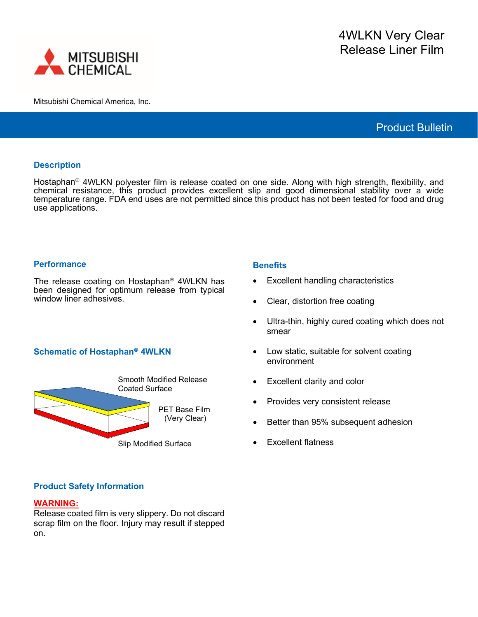

Mitsubishi Chemical America, Inc.

# Product Bulletin

## **Description**

Hostaphan<sup>®</sup> 4WLKN polyester film is release coated on one side. Along with high strength, flexibility, and chemical resistance, this product provides excellent slip and good dimensional stability over a wide temperature range. FDA end uses are not permitted since this product has not been tested for food and drug use applications.

### **Performance**

The release coating on Hostaphan<sup>®</sup> 4WLKN has been designed for optimum release from typical window liner adhesives.

## **Schematic of Hostaphan<sup>®</sup> 4WLKN**



### **Benefits**

- **Excellent handling characteristics**
- Clear, distortion free coating
- Ultra-thin, highly cured coating which does not smear
- Low static, suitable for solvent coating environment
- Excellent clarity and color
- Provides very consistent release
- Better than 95% subsequent adhesion
- **Excellent flatness**

## **Product Safety Information**

#### **WARNING:**

Release coated film is very slippery. Do not discard scrap film on the floor. Injury may result if stepped on.